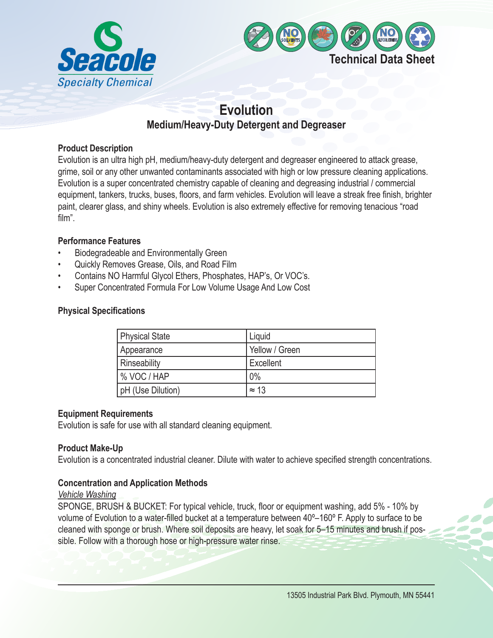



# **Evolution Medium/Heavy-Duty Detergent and Degreaser**

## **Product Description**

Evolution is an ultra high pH, medium/heavy-duty detergent and degreaser engineered to attack grease, grime, soil or any other unwanted contaminants associated with high or low pressure cleaning applications. Evolution is a super concentrated chemistry capable of cleaning and degreasing industrial / commercial equipment, tankers, trucks, buses, floors, and farm vehicles. Evolution will leave a streak free finish, brighter paint, clearer glass, and shiny wheels. Evolution is also extremely effective for removing tenacious "road film".

### **Performance Features**

- Biodegradeable and Environmentally Green
- Quickly Removes Grease, Oils, and Road Film
- Contains NO Harmful Glycol Ethers, Phosphates, HAP's, Or VOC's.
- Super Concentrated Formula For Low Volume Usage And Low Cost

## **Physical Specifications**

| Physical State    | Liquid         |
|-------------------|----------------|
| Appearance        | Yellow / Green |
| Rinseability      | Excellent      |
| I % VOC / HAP     | 0%             |
| pH (Use Dilution) | $= 13$         |

### **Equipment Requirements**

Evolution is safe for use with all standard cleaning equipment.

# **Product Make-Up**

Evolution is a concentrated industrial cleaner. Dilute with water to achieve specified strength concentrations.

# **Concentration and Application Methods**

### *Vehicle Washing*

SPONGE, BRUSH & BUCKET: For typical vehicle, truck, floor or equipment washing, add 5% - 10% by volume of Evolution to a water-filled bucket at a temperature between 40º–160º F. Apply to surface to be cleaned with sponge or brush. Where soil deposits are heavy, let soak for 5–15 minutes and brush if possible. Follow with a thorough hose or high-pressure water rinse.